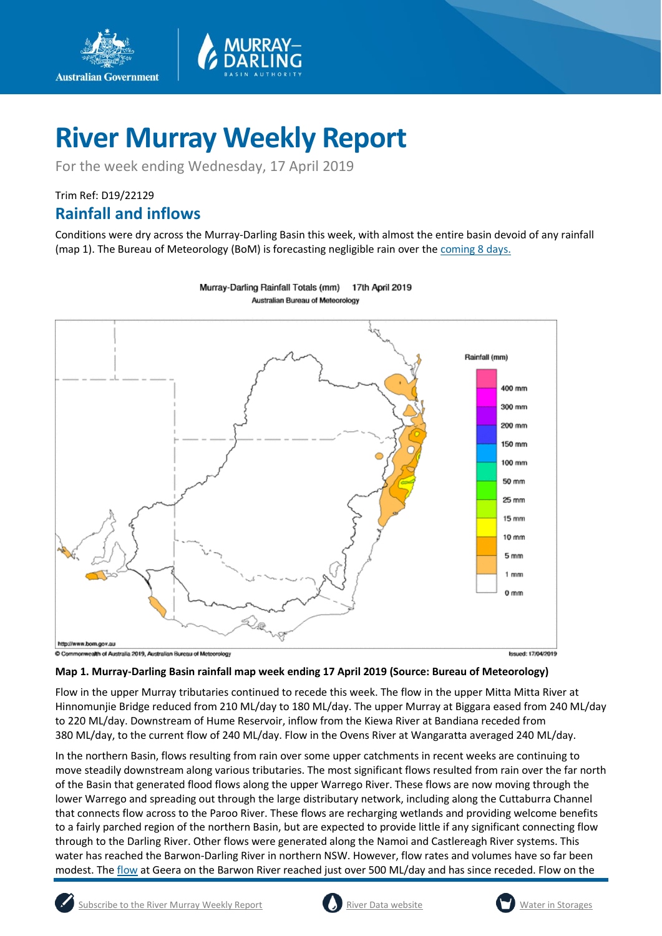

# **River Murray Weekly Report**

For the week ending Wednesday, 17 April 2019

## Trim Ref: D19/22129 **Rainfall and inflows**

**Australian Government** 

Conditions were dry across the Murray-Darling Basin this week, with almost the entire basin devoid of any rainfall (map 1). The Bureau of Meteorology (BoM) is forecasting negligible rain over the [coming 8 days.](http://www.bom.gov.au/jsp/watl/rainfall/pme.jsp)



Murray-Darling Rainfall Totals (mm) 17th April 2019 Australian Bureau of Meteorology

#### **Map 1. Murray-Darling Basin rainfall map week ending 17 April 2019 (Source: Bureau of Meteorology)**

Flow in the upper Murray tributaries continued to recede this week. The flow in the upper Mitta Mitta River at Hinnomunjie Bridge reduced from 210 ML/day to 180 ML/day. The upper Murray at Biggara eased from 240 ML/day to 220 ML/day. Downstream of Hume Reservoir, inflow from the Kiewa River at Bandiana receded from 380 ML/day, to the current flow of 240 ML/day. Flow in the Ovens River at Wangaratta averaged 240 ML/day.

In the northern Basin, flows resulting from rain over some upper catchments in recent weeks are continuing to move steadily downstream along various tributaries. The most significant flows resulted from rain over the far north of the Basin that generated flood flows along the upper Warrego River. These flows are now moving through the lower Warrego and spreading out through the large distributary network, including along the Cuttaburra Channel that connects flow across to the Paroo River. These flows are recharging wetlands and providing welcome benefits to a fairly parched region of the northern Basin, but are expected to provide little if any significant connecting flow through to the Darling River. Other flows were generated along the Namoi and Castlereagh River systems. This water has reached the Barwon-Darling River in northern NSW. However, flow rates and volumes have so far been modest. The [flow](https://realtimedata.waternsw.com.au/) at Geera on the Barwon River reached just over 500 ML/day and has since receded. Flow on the



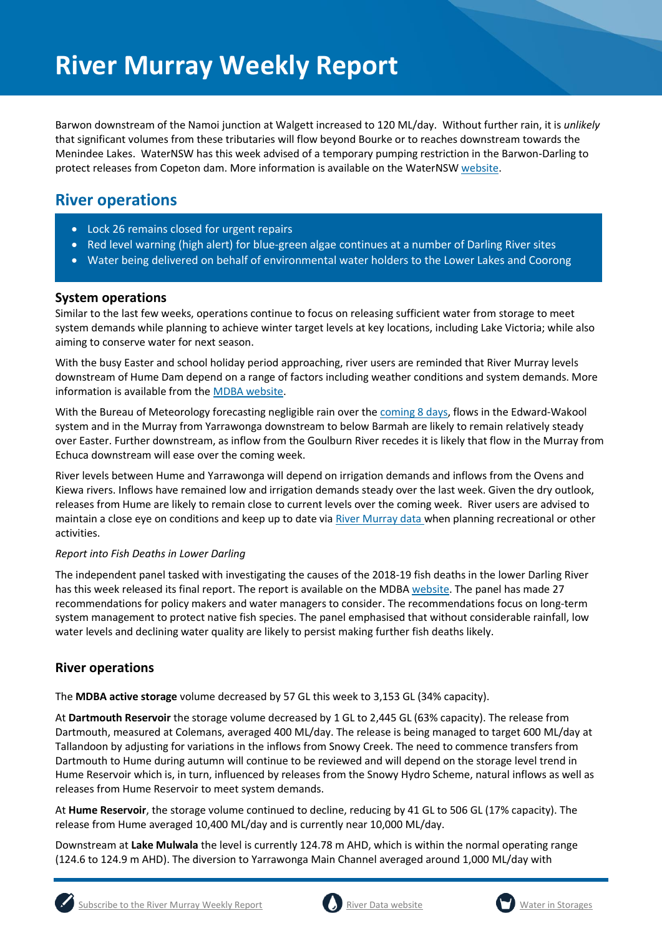Barwon downstream of the Namoi junction at Walgett increased to 120 ML/day. Without further rain, it is *unlikely* that significant volumes from these tributaries will flow beyond Bourke or to reaches downstream towards the Menindee Lakes. WaterNSW has this week advised of a temporary pumping restriction in the Barwon-Darling to protect releases from Copeton dam. More information is available on the WaterNSW [website.](https://www.waternsw.com.au/about/newsroom/2019/temporary-pump-restriction-for-barwon-darling-enviro-release)

## **River operations**

- Lock 26 remains closed for urgent repairs
- Red level warning (high alert) for blue-green algae continues at a number of Darling River sites
- Water being delivered on behalf of environmental water holders to the Lower Lakes and Coorong

#### **System operations**

Similar to the last few weeks, operations continue to focus on releasing sufficient water from storage to meet system demands while planning to achieve winter target levels at key locations, including Lake Victoria; while also aiming to conserve water for next season.

With the busy Easter and school holiday period approaching, river users are reminded that River Murray levels downstream of Hume Dam depend on a range of factors including weather conditions and system demands. More information is available from th[e MDBA website.](https://www.mdba.gov.au/media/mr/murray-flows-easter-expected-be-steady)

With the Bureau of Meteorology forecasting negligible rain over the [coming 8 days,](http://www.bom.gov.au/jsp/watl/rainfall/pme.jsp) flows in the Edward-Wakool system and in the Murray from Yarrawonga downstream to below Barmah are likely to remain relatively steady over Easter. Further downstream, as inflow from the Goulburn River recedes it is likely that flow in the Murray from Echuca downstream will ease over the coming week.

River levels between Hume and Yarrawonga will depend on irrigation demands and inflows from the Ovens and Kiewa rivers. Inflows have remained low and irrigation demands steady over the last week. Given the dry outlook, releases from Hume are likely to remain close to current levels over the coming week. River users are advised to maintain a close eye on conditions and keep up to date via [River Murray data w](https://riverdata.mdba.gov.au/system-view)hen planning recreational or other activities.

#### *Report into Fish Deaths in Lower Darling*

The independent panel tasked with investigating the causes of the 2018-19 fish deaths in the lower Darling River has this week released its final report. The report is available on the MDBA [website.](https://www.mdba.gov.au/publications/mdba-reports/independent-panel-assess-fish-deaths-lower-darling) The panel has made 27 recommendations for policy makers and water managers to consider. The recommendations focus on long-term system management to protect native fish species. The panel emphasised that without considerable rainfall, low water levels and declining water quality are likely to persist making further fish deaths likely.

### **River operations**

The **MDBA active storage** volume decreased by 57 GL this week to 3,153 GL (34% capacity).

At **Dartmouth Reservoir** the storage volume decreased by 1 GL to 2,445 GL (63% capacity). The release from Dartmouth, measured at Colemans, averaged 400 ML/day. The release is being managed to target 600 ML/day at Tallandoon by adjusting for variations in the inflows from Snowy Creek. The need to commence transfers from Dartmouth to Hume during autumn will continue to be reviewed and will depend on the storage level trend in Hume Reservoir which is, in turn, influenced by releases from the Snowy Hydro Scheme, natural inflows as well as releases from Hume Reservoir to meet system demands.

At **Hume Reservoir**, the storage volume continued to decline, reducing by 41 GL to 506 GL (17% capacity). The release from Hume averaged 10,400 ML/day and is currently near 10,000 ML/day.

Downstream at **Lake Mulwala** the level is currently 124.78 m AHD, which is within the normal operating range (124.6 to 124.9 m AHD). The diversion to Yarrawonga Main Channel averaged around 1,000 ML/day with





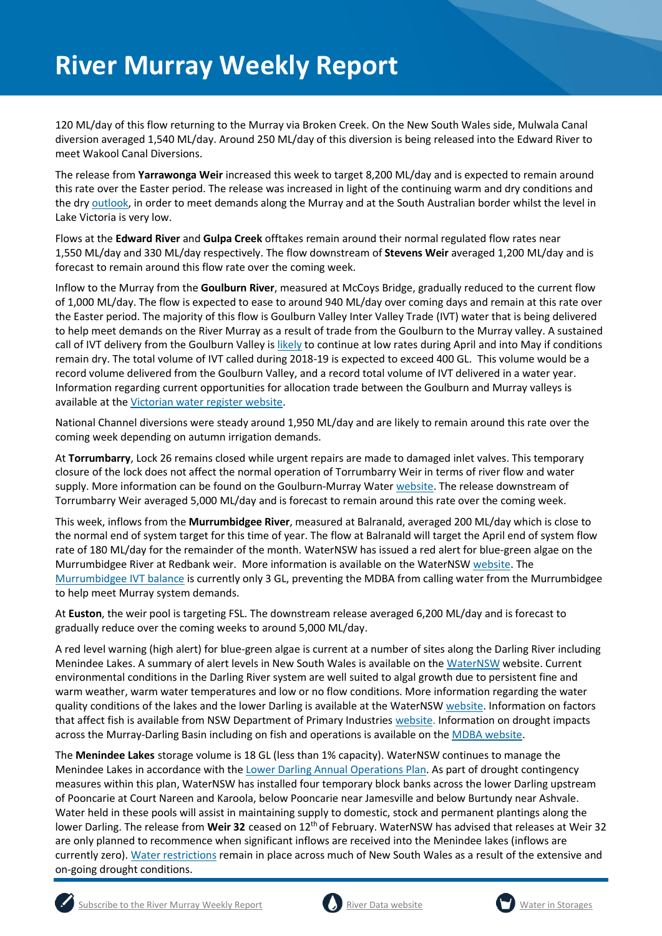120 ML/day of this flow returning to the Murray via Broken Creek. On the New South Wales side, Mulwala Canal diversion averaged 1,540 ML/day. Around 250 ML/day of this diversion is being released into the Edward River to meet Wakool Canal Diversions.

The release from **Yarrawonga Weir** increased this week to target 8,200 ML/day and is expected to remain around this rate over the Easter period. The release was increased in light of the continuing warm and dry conditions and the dr[y outlook,](http://www.bom.gov.au/climate/outlooks/#/rainfall/summary) in order to meet demands along the Murray and at the South Australian border whilst the level in Lake Victoria is very low.

Flows at the **Edward River** and **Gulpa Creek** offtakes remain around their normal regulated flow rates near 1,550 ML/day and 330 ML/day respectively. The flow downstream of **Stevens Weir** averaged 1,200 ML/day and is forecast to remain around this flow rate over the coming week.

Inflow to the Murray from the **Goulburn River**, measured at McCoys Bridge, gradually reduced to the current flow of 1,000 ML/day. The flow is expected to ease to around 940 ML/day over coming days and remain at this rate over the Easter period. The majority of this flow is Goulburn Valley Inter Valley Trade (IVT) water that is being delivered to help meet demands on the River Murray as a result of trade from the Goulburn to the Murray valley. A sustained call of IVT delivery from the Goulburn Valley i[s likely](https://www.g-mwater.com.au/water-resources/managing-water-storages) to continue at low rates during April and into May if conditions remain dry. The total volume of IVT called during 2018-19 is expected to exceed 400 GL. This volume would be a record volume delivered from the Goulburn Valley, and a record total volume of IVT delivered in a water year. Information regarding current opportunities for allocation trade between the Goulburn and Murray valleys is available at the [Victorian water register website.](http://waterregister.vic.gov.au/water-trading/allocation-trading#AllocationTradeOpportunities)

National Channel diversions were steady around 1,950 ML/day and are likely to remain around this rate over the coming week depending on autumn irrigation demands.

At **Torrumbarry**, Lock 26 remains closed while urgent repairs are made to damaged inlet valves. This temporary closure of the lock does not affect the normal operation of Torrumbarry Weir in terms of river flow and water supply. More information can be found on the Goulburn-Murray Water [website.](https://www.g-mwater.com.au/news/media-releases1/lock-26-emptied-while-repairs-assessed.html) The release downstream of Torrumbarry Weir averaged 5,000 ML/day and is forecast to remain around this rate over the coming week.

This week, inflows from the **Murrumbidgee River**, measured at Balranald, averaged 200 ML/day which is close to the normal end of system target for this time of year. The flow at Balranald will target the April end of system flow rate of 180 ML/day for the remainder of the month. WaterNSW has issued a red alert for blue-green algae on the Murrumbidgee River at Redbank weir. More information is available on the WaterNS[W website.](https://www.waternsw.com.au/about/newsroom/2019/blue-green-algae-red-alert-for-murrumbidgee-river-at-redbank-weir) The [Murrumbidgee IVT balance](http://www.waternsw.com.au/customer-service/ordering-trading-and-pricing/trading/murrumbidgee) is currently only 3 GL, preventing the MDBA from calling water from the Murrumbidgee to help meet Murray system demands.

At **Euston**, the weir pool is targeting FSL. The downstream release averaged 6,200 ML/day and is forecast to gradually reduce over the coming weeks to around 5,000 ML/day.

A red level warning (high alert) for blue-green algae is current at a number of sites along the Darling River including Menindee Lakes. A summary of alert levels in New South Wales is available on the [WaterNSW](https://www.waternsw.com.au/water-quality/algae) website. Current environmental conditions in the Darling River system are well suited to algal growth due to persistent fine and warm weather, warm water temperatures and low or no flow conditions. More information regarding the water quality conditions of the lakes and the lower Darling is available at the WaterNSW [website.](https://www.waternsw.com.au/about/newsroom?queries_type_query=algal-alerts&search_page_111944_submit_button=Submit¤t_result_page=1&results_per_page=0&submitted_search_category=&mode=) Information on factors that affect fish is available from NSW Department of Primary Industrie[s website.](https://www.dpi.nsw.gov.au/fishing/habitat/threats/fish-kills) Information on drought impacts across the Murray-Darling Basin including on fish and operations is available on the **MDBA** website.

The **Menindee Lakes** storage volume is 18 GL (less than 1% capacity). WaterNSW continues to manage the Menindee Lakes in accordance with the [Lower Darling Annual Operations Plan.](https://www.waternsw.com.au/supply/regional-nsw/operations) As part of drought contingency measures within this plan, WaterNSW has installed four temporary block banks across the lower Darling upstream of Pooncarie at Court Nareen and Karoola, below Pooncarie near Jamesville and below Burtundy near Ashvale. Water held in these pools will assist in maintaining supply to domestic, stock and permanent plantings along the lower Darling. The release from **Weir 32** ceased on 12th of February. WaterNSW has advised that releases at Weir 32 are only planned to recommence when significant inflows are received into the Menindee lakes (inflows are currently zero)[. Water restrictions](https://www.waternsw.com.au/about/newsroom/2018/waternsw-confirms-restrictions-for-lower-darling-customers) remain in place across much of New South Wales as a result of the extensive and on-going drought conditions.





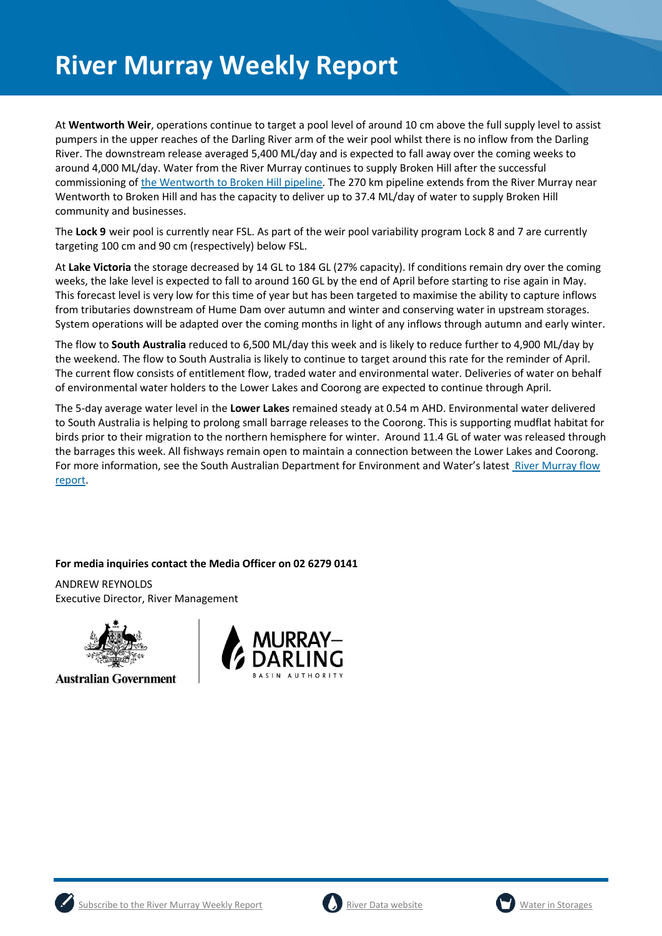# **River Murray Weekly Report**

At **Wentworth Weir**, operations continue to target a pool level of around 10 cm above the full supply level to assist pumpers in the upper reaches of the Darling River arm of the weir pool whilst there is no inflow from the Darling River. The downstream release averaged 5,400 ML/day and is expected to fall away over the coming weeks to around 4,000 ML/day. Water from the River Murray continues to supply Broken Hill after the successful commissioning of [the Wentworth to Broken](https://www.waternsw.com.au/__data/assets/pdf_file/0007/141739/Community-Update-March-19.pdf) Hill pipeline. The 270 km pipeline extends from the River Murray near Wentworth to Broken Hill and has the capacity to deliver up to 37.4 ML/day of water to supply Broken Hill community and businesses.

The **Lock 9** weir pool is currently near FSL. As part of the weir pool variability program Lock 8 and 7 are currently targeting 100 cm and 90 cm (respectively) below FSL.

At **Lake Victoria** the storage decreased by 14 GL to 184 GL (27% capacity). If conditions remain dry over the coming weeks, the lake level is expected to fall to around 160 GL by the end of April before starting to rise again in May. This forecast level is very low for this time of year but has been targeted to maximise the ability to capture inflows from tributaries downstream of Hume Dam over autumn and winter and conserving water in upstream storages. System operations will be adapted over the coming months in light of any inflows through autumn and early winter.

The flow to **South Australia** reduced to 6,500 ML/day this week and is likely to reduce further to 4,900 ML/day by the weekend. The flow to South Australia is likely to continue to target around this rate for the reminder of April. The current flow consists of entitlement flow, traded water and environmental water. Deliveries of water on behalf of environmental water holders to the Lower Lakes and Coorong are expected to continue through April.

The 5-day average water level in the **Lower Lakes** remained steady at 0.54 m AHD. Environmental water delivered to South Australia is helping to prolong small barrage releases to the Coorong. This is supporting mudflat habitat for birds prior to their migration to the northern hemisphere for winter. Around 11.4 GL of water was released through the barrages this week. All fishways remain open to maintain a connection between the Lower Lakes and Coorong. For more information, see the South Australian Department for Environment and Water's latest [River Murray flow](https://www.waterconnect.sa.gov.au/River-Murray/SitePages/2019%20Flow%20Reports.aspx)  [report.](https://www.waterconnect.sa.gov.au/River-Murray/SitePages/2019%20Flow%20Reports.aspx)

**For media inquiries contact the Media Officer on 02 6279 0141**

ANDREW REYNOLDS Executive Director, River Management



**Australian Government** 







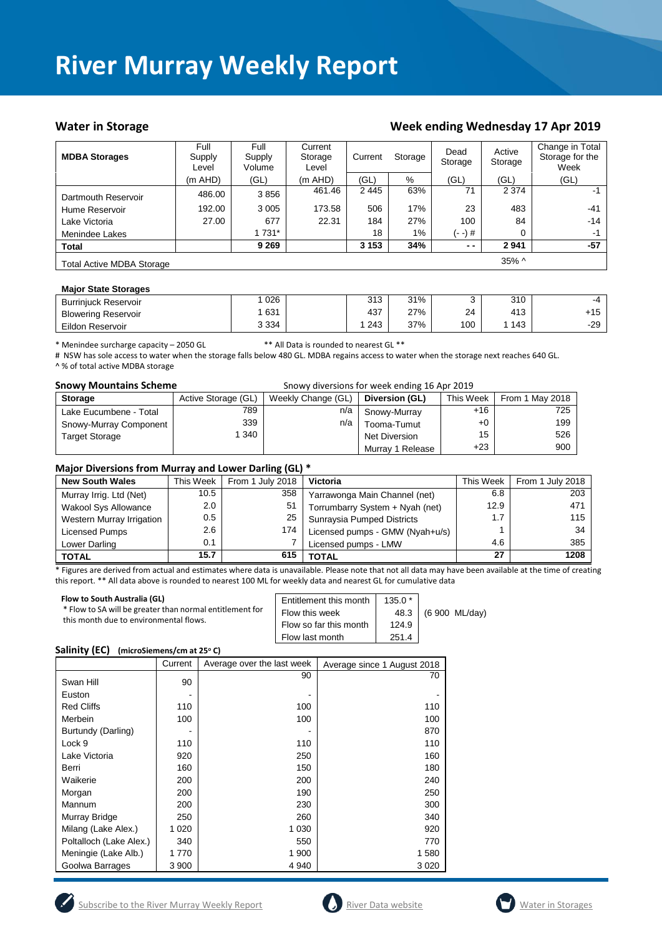## **River Murray Weekly Report**

#### Water in Storage Week ending Week ending Wednesday 17 Apr 2019

| <b>MDBA Storages</b>             | Full<br>Supply<br>Level | Full<br>Supply<br>Volume | Current<br>Storage<br>Level | Current | Storage | Dead<br>Storage | Active<br>Storage | Change in Total<br>Storage for the<br>Week |
|----------------------------------|-------------------------|--------------------------|-----------------------------|---------|---------|-----------------|-------------------|--------------------------------------------|
|                                  | (m AHD)                 | (GL)                     | (m AHD)                     | (GL)    | $\%$    | (GL)            | (GL)              | (GL)                                       |
| Dartmouth Reservoir              | 486.00                  | 3856                     | 461.46                      | 2445    | 63%     | 71              | 2 3 7 4           | -1                                         |
| Hume Reservoir                   | 192.00                  | 3 0 0 5                  | 173.58                      | 506     | 17%     | 23              | 483               | $-41$                                      |
| Lake Victoria                    | 27.00                   | 677                      | 22.31                       | 184     | 27%     | 100             | 84                | $-14$                                      |
| Menindee Lakes                   |                         | 1 7 3 1 *                |                             | 18      | $1\%$   | (- -) #         | 0                 | $-1$                                       |
| <b>Total</b>                     |                         | 9 2 6 9                  |                             | 3 1 5 3 | 34%     | $ -$            | 2941              | $-57$                                      |
| <b>Total Active MDBA Storage</b> |                         |                          |                             |         |         |                 | 35% ^             |                                            |

#### **Major State Storages**

| <b>Burriniuck Reservoir</b> | 026   | 212<br>ں ا ب | 31% |     | 310 | $-4$  |
|-----------------------------|-------|--------------|-----|-----|-----|-------|
| <b>Blowering Reservoir</b>  | 631   | 437          | 27% | 24  | 413 | $+15$ |
| Eildon Reservoir            | 3 334 | 243          | 37% | 100 | 143 | $-29$ |

\* Menindee surcharge capacity – 2050 GL \*\* All Data is rounded to nearest GL \*\*

# NSW has sole access to water when the storage falls below 480 GL. MDBA regains access to water when the storage next reaches 640 GL.

^ % of total active MDBA storage

| <b>Snowy Mountains Scheme</b> |                                                                       | Snowy diversions for week ending 16 Apr 2019 |          |  |
|-------------------------------|-----------------------------------------------------------------------|----------------------------------------------|----------|--|
| C <sub>forona</sub>           | $\Lambda$ otivo Storogo (CL) Wookly Change (CL) <b>Divorsion (CL)</b> |                                              | ThicMoch |  |

| <b>Storage</b>         | Active Storage (GL) | Weekly Change (GL) | Diversion (GL)   | This Week | From 1 May 2018 |
|------------------------|---------------------|--------------------|------------------|-----------|-----------------|
| Lake Eucumbene - Total | 789                 | n/a                | Snowy-Murray     | $+16$     | 725             |
| Snowy-Murray Component | 339                 | n/a                | Tooma-Tumut      | $+0$      | 199             |
| <b>Target Storage</b>  | 340                 |                    | Net Diversion    | 15        | 526             |
|                        |                     |                    | Murray 1 Release | $+23$     | 900             |

#### **Major Diversions from Murray and Lower Darling (GL) \***

| <b>New South Wales</b>      | This Week     | From 1 July 2018 | Victoria                        | This Week | From 1 July 2018 |
|-----------------------------|---------------|------------------|---------------------------------|-----------|------------------|
| Murray Irrig. Ltd (Net)     | 10.5          | 358              | Yarrawonga Main Channel (net)   | 6.8       | 203              |
| <b>Wakool Sys Allowance</b> | 2.0           | 51               | Torrumbarry System + Nyah (net) | 12.9      | 471              |
| Western Murray Irrigation   | 0.5           | 25               | Sunraysia Pumped Districts      | 1.7       | 115              |
| Licensed Pumps              | $2.6^{\circ}$ | 174              | Licensed pumps - GMW (Nyah+u/s) |           | 34               |
| Lower Darling               | 0.1           |                  | Licensed pumps - LMW            | 4.6       | 385              |
| <b>TOTAL</b>                | 15.7          | 615              | <b>TOTAL</b>                    | 27        | 1208             |

\* Figures are derived from actual and estimates where data is unavailable. Please note that not all data may have been available at the time of creating this report. \*\* All data above is rounded to nearest 100 ML for weekly data and nearest GL for cumulative data

#### **Flow to South Australia (GL)**

| Flow to South Australia (GL)                             | Entitlement this month | $135.0*$ | (6 900 ML/day) |
|----------------------------------------------------------|------------------------|----------|----------------|
| * Flow to SA will be greater than normal entitlement for | Flow this week         | 48.3     |                |
| this month due to environmental flows.                   | Flow so far this month | 124.9    |                |
|                                                          | Flow last month        | 251.4    |                |

#### **Salinity (EC) (microSiemens/cm at 25<sup>o</sup> C)**

|                         | Current | Average over the last week | Average since 1 August 2018 |
|-------------------------|---------|----------------------------|-----------------------------|
| Swan Hill               | 90      | 90                         | 70                          |
| Euston                  |         |                            |                             |
| <b>Red Cliffs</b>       | 110     | 100                        | 110                         |
| Merbein                 | 100     | 100                        | 100                         |
| Burtundy (Darling)      |         |                            | 870                         |
| Lock 9                  | 110     | 110                        | 110                         |
| Lake Victoria           | 920     | 250                        | 160                         |
| Berri                   | 160     | 150                        | 180                         |
| Waikerie                | 200     | 200                        | 240                         |
| Morgan                  | 200     | 190                        | 250                         |
| Mannum                  | 200     | 230                        | 300                         |
| Murray Bridge           | 250     | 260                        | 340                         |
| Milang (Lake Alex.)     | 1 0 2 0 | 1 0 3 0                    | 920                         |
| Poltalloch (Lake Alex.) | 340     | 550                        | 770                         |
| Meningie (Lake Alb.)    | 1 770   | 1 900                      | 1580                        |
| Goolwa Barrages         | 3 900   | 4 9 4 0                    | 3 0 2 0                     |





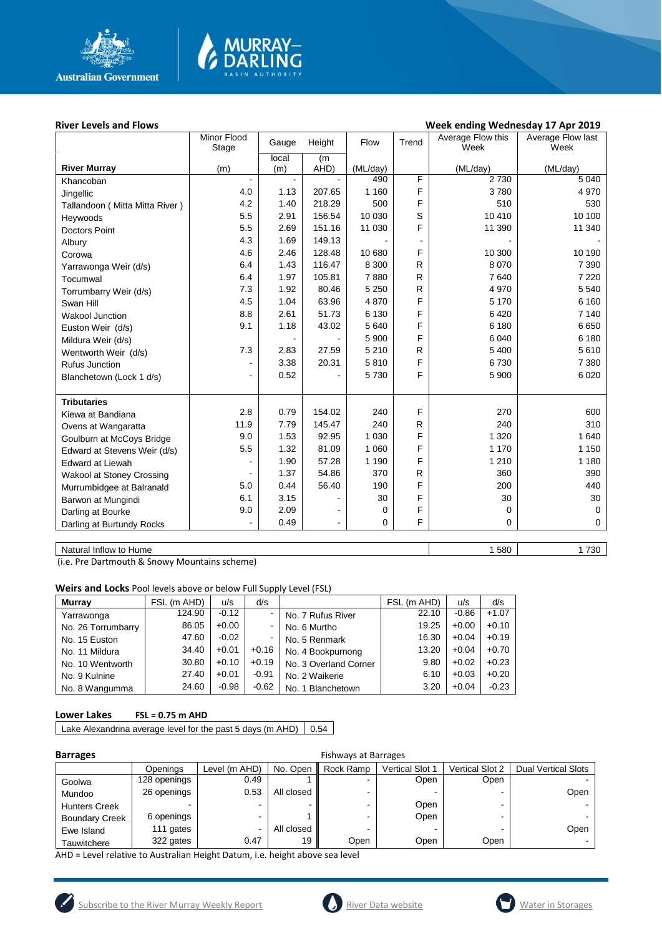

# **MURRAY-<br>DARLING**

#### River Levels and Flows **River Levels and Flows Week ending Wednesday 17 Apr 2019**

|                                | Minor Flood    | Gauge        | Height         | Flow     | Trend        | Average Flow this | Average Flow last |
|--------------------------------|----------------|--------------|----------------|----------|--------------|-------------------|-------------------|
|                                | Stage          | local        |                |          |              | Week              | Week              |
| <b>River Murray</b>            | (m)            | (m)          | (m)<br>AHD)    | (ML/day) |              | (ML/day)          | (ML/day)          |
| Khancoban                      | $\blacksquare$ | $\mathbf{r}$ |                | 490      | F            | 2 7 3 0           | 5 0 4 0           |
| Jingellic                      | 4.0            | 1.13         | 207.65         | 1 160    | F            | 3780              | 4 9 7 0           |
| Tallandoon (Mitta Mitta River) | 4.2            | 1.40         | 218.29         | 500      | F            | 510               | 530               |
| Heywoods                       | 5.5            | 2.91         | 156.54         | 10 030   | S            | 10 410            | 10 100            |
| <b>Doctors Point</b>           | 5.5            | 2.69         | 151.16         | 11 030   | F            | 11 390            | 11 340            |
| Albury                         | 4.3            | 1.69         | 149.13         |          |              |                   |                   |
| Corowa                         | 4.6            | 2.46         | 128.48         | 10 680   | F            | 10 300            | 10 190            |
| Yarrawonga Weir (d/s)          | 6.4            | 1.43         | 116.47         | 8 3 0 0  | R            | 8 0 7 0           | 7 3 9 0           |
| Tocumwal                       | 6.4            | 1.97         | 105.81         | 7880     | R            | 7640              | 7 2 2 0           |
| Torrumbarry Weir (d/s)         | 7.3            | 1.92         | 80.46          | 5 2 5 0  | R            | 4 9 7 0           | 5 5 4 0           |
| Swan Hill                      | 4.5            | 1.04         | 63.96          | 4870     | F            | 5 1 7 0           | 6 1 6 0           |
| <b>Wakool Junction</b>         | 8.8            | 2.61         | 51.73          | 6 1 3 0  | F            | 6420              | 7 140             |
| Euston Weir (d/s)              | 9.1            | 1.18         | 43.02          | 5 6 4 0  | F            | 6 180             | 6650              |
| Mildura Weir (d/s)             |                |              |                | 5 9 0 0  | F            | 6 0 4 0           | 6 180             |
| Wentworth Weir (d/s)           | 7.3            | 2.83         | 27.59          | 5 2 1 0  | $\mathsf{R}$ | 5 4 0 0           | 5 6 1 0           |
| <b>Rufus Junction</b>          | $\overline{a}$ | 3.38         | 20.31          | 5810     | F            | 6730              | 7 3 8 0           |
| Blanchetown (Lock 1 d/s)       | ٠              | 0.52         |                | 5730     | F            | 5 900             | 6020              |
|                                |                |              |                |          |              |                   |                   |
| <b>Tributaries</b>             |                |              |                |          |              |                   |                   |
| Kiewa at Bandiana              | 2.8            | 0.79         | 154.02         | 240      | F            | 270               | 600               |
| Ovens at Wangaratta            | 11.9           | 7.79         | 145.47         | 240      | R            | 240               | 310               |
| Goulburn at McCoys Bridge      | 9.0            | 1.53         | 92.95          | 1 0 3 0  | F            | 1 3 2 0           | 1 640             |
| Edward at Stevens Weir (d/s)   | 5.5            | 1.32         | 81.09          | 1 0 6 0  | F            | 1 1 7 0           | 1 150             |
| <b>Edward at Liewah</b>        | $\blacksquare$ | 1.90         | 57.28          | 1 1 9 0  | F            | 1 2 1 0           | 1 1 8 0           |
| Wakool at Stoney Crossing      |                | 1.37         | 54.86          | 370      | R            | 360               | 390               |
| Murrumbidgee at Balranald      | 5.0            | 0.44         | 56.40          | 190      | F            | 200               | 440               |
| Barwon at Mungindi             | 6.1            | 3.15         |                | 30       | F            | 30                | 30                |
| Darling at Bourke              | 9.0            | 2.09         | $\blacksquare$ | 0        | F            | 0                 | $\mathbf 0$       |
| Darling at Burtundy Rocks      | ÷              | 0.49         | ä,             | $\Omega$ | F            | 0                 | 0                 |
|                                |                |              |                |          |              |                   |                   |

Natural Inflow to Hume 1730

(i.e. Pre Dartmouth & Snowy Mountains scheme)

**Weirs and Locks** Pool levels above or below Full Supply Level (FSL)

| <b>Murrav</b>      | FSL (m AHD) | u/s     | d/s     |                       | . (m AHD)<br>FSL | u/s     | d/s     |
|--------------------|-------------|---------|---------|-----------------------|------------------|---------|---------|
| Yarrawonga         | 124.90      | $-0.12$ |         | No. 7 Rufus River     | 22.10            | $-0.86$ | $+1.07$ |
| No. 26 Torrumbarry | 86.05       | $+0.00$ |         | No. 6 Murtho          | 19.25            | $+0.00$ | $+0.10$ |
| No. 15 Euston      | 47.60       | $-0.02$ |         | No. 5 Renmark         | 16.30            | $+0.04$ | $+0.19$ |
| No. 11 Mildura     | 34.40       | $+0.01$ | $+0.16$ | No. 4 Bookpurnong     | 13.20            | $+0.04$ | $+0.70$ |
| No. 10 Wentworth   | 30.80       | $+0.10$ | $+0.19$ | No. 3 Overland Corner | 9.80             | $+0.02$ | $+0.23$ |
| No. 9 Kulnine      | 27.40       | $+0.01$ | $-0.91$ | No. 2 Waikerie        | 6.10             | $+0.03$ | $+0.20$ |
| No. 8 Wangumma     | 24.60       | $-0.98$ | $-0.62$ | No. 1 Blanchetown     | 3.20             | $+0.04$ | $-0.23$ |

#### **Lower Lakes FSL = 0.75 m AHD**

Lake Alexandrina average level for the past 5 days (m AHD)  $\Big| 0.54 \Big|$ 

| <b>Barrages</b>                                                                |              |               |            | <b>Fishways at Barrages</b> |                        |                 |                            |
|--------------------------------------------------------------------------------|--------------|---------------|------------|-----------------------------|------------------------|-----------------|----------------------------|
|                                                                                | Openings     | Level (m AHD) | No. Open   | Rock Ramp                   | <b>Vertical Slot 1</b> | Vertical Slot 2 | <b>Dual Vertical Slots</b> |
| Goolwa                                                                         | 128 openings | 0.49          |            | ۰.                          | Open                   | Open            |                            |
| Mundoo                                                                         | 26 openings  | 0.53          | All closed | -                           |                        |                 | Oper                       |
| <b>Hunters Creek</b>                                                           |              |               | -          | $\blacksquare$              | Open                   |                 |                            |
| <b>Boundary Creek</b>                                                          | 6 openings   |               |            | $\blacksquare$              | Open                   |                 |                            |
| Ewe Island                                                                     | 111 gates    |               | All closed | -                           |                        |                 | Oper                       |
| Tauwitchere                                                                    | 322 gates    | 0.47          | 19         | Open                        | Open                   | Open            |                            |
| AllB - Local solothic to Acctualize Hotelst Botcom it a last classic and Local |              |               |            |                             |                        |                 |                            |

AHD = Level relative to Australian Height Datum, i.e. height above sea level